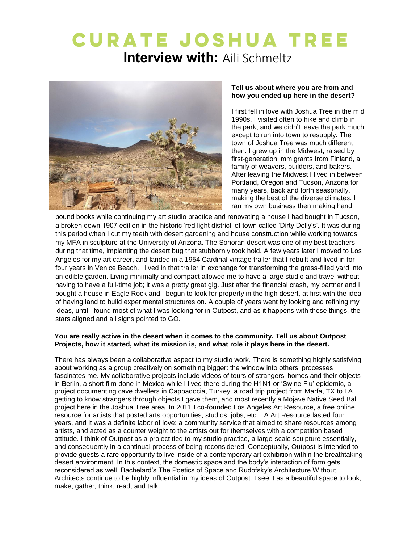# **CURATE JOSHUA TREE Interview with: Aili Schmeltz**



# **Tell us about where you are from and how you ended up here in the desert?**

I first fell in love with Joshua Tree in the mid 1990s. I visited often to hike and climb in the park, and we didn't leave the park much except to run into town to resupply. The town of Joshua Tree was much different then. I grew up in the Midwest, raised by first-generation immigrants from Finland, a family of weavers, builders, and bakers. After leaving the Midwest I lived in between Portland, Oregon and Tucson, Arizona for many years, back and forth seasonally, making the best of the diverse climates. I ran my own business then making hand

bound books while continuing my art studio practice and renovating a house I had bought in Tucson, a broken down 1907 edition in the historic 'red light district' of town called 'Dirty Dolly's'. It was during this period when I cut my teeth with desert gardening and house construction while working towards my MFA in sculpture at the University of Arizona. The Sonoran desert was one of my best teachers during that time, implanting the desert bug that stubbornly took hold. A few years later I moved to Los Angeles for my art career, and landed in a 1954 Cardinal vintage trailer that I rebuilt and lived in for four years in Venice Beach. I lived in that trailer in exchange for transforming the grass-filled yard into an edible garden. Living minimally and compact allowed me to have a large studio and travel without having to have a full-time job; it was a pretty great gig. Just after the financial crash, my partner and I bought a house in Eagle Rock and I begun to look for property in the high desert, at first with the idea of having land to build experimental structures on. A couple of years went by looking and refining my ideas, until I found most of what I was looking for in Outpost, and as it happens with these things, the stars aligned and all signs pointed to GO.

## **You are really active in the desert when it comes to the community. Tell us about Outpost Projects, how it started, what its mission is, and what role it plays here in the desert.**

There has always been a collaborative aspect to my studio work. There is something highly satisfying about working as a group creatively on something bigger: the window into others' processes fascinates me. My collaborative projects include videos of tours of strangers' homes and their objects in Berlin, a short film done in Mexico while I lived there during the H1N1 or 'Swine Flu' epidemic, a project documenting cave dwellers in Cappadocia, Turkey, a road trip project from Marfa, TX to LA getting to know strangers through objects I gave them, and most recently a Mojave Native Seed Ball project here in the Joshua Tree area. In 2011 I co-founded Los Angeles Art Resource, a free online resource for artists that posted arts opportunities, studios, jobs, etc. LA Art Resource lasted four years, and it was a definite labor of love: a community service that aimed to share resources among artists, and acted as a counter weight to the artists out for themselves with a competition based attitude. I think of Outpost as a project tied to my studio practice, a large-scale sculpture essentially, and consequently in a continual process of being reconsidered. Conceptually, Outpost is intended to provide guests a rare opportunity to live inside of a contemporary art exhibition within the breathtaking desert environment. In this context, the domestic space and the body's interaction of form gets reconsidered as well. Bachelard's The Poetics of Space and Rudofsky's Architecture Without Architects continue to be highly influential in my ideas of Outpost. I see it as a beautiful space to look, make, gather, think, read, and talk.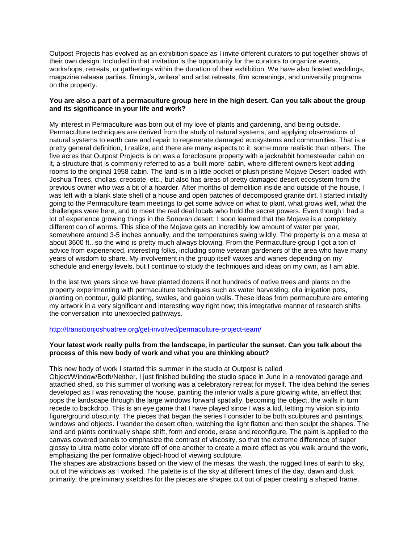Outpost Projects has evolved as an exhibition space as I invite different curators to put together shows of their own design. Included in that invitation is the opportunity for the curators to organize events, workshops, retreats, or gatherings within the duration of their exhibition. We have also hosted weddings, magazine release parties, filming's, writers' and artist retreats, film screenings, and university programs on the property.

## You are also a part of a permaculture group here in the high desert. Can you talk about the group **and its significance in your life and work?**

My interest in Permaculture was born out of my love of plants and gardening, and being outside. Permaculture techniques are derived from the study of natural systems, and applying observations of natural systems to earth care and repair to regenerate damaged ecosystems and communities. That is a pretty general definition, I realize, and there are many aspects to it, some more realistic than others. The five acres that Outpost Projects is on was a foreclosure property with a jackrabbit homesteader cabin on it, a structure that is commonly referred to as a 'built more' cabin, where different owners kept adding rooms to the original 1958 cabin. The land is in a little pocket of plush pristine Mojave Desert loaded with Joshua Trees, chollas, creosote, etc., but also has areas of pretty damaged desert ecosystem from the previous owner who was a bit of a hoarder. After months of demolition inside and outside of the house, I was left with a blank slate shell of a house and open patches of decomposed granite dirt. I started initially going to the Permaculture team meetings to get some advice on what to plant, what grows well, what the challenges were here, and to meet the real deal locals who hold the secret powers. Even though I had a lot of experience growing things in the Sonoran desert, I soon learned that the Mojave is a completely different can of worms. This slice of the Mojave gets an incredibly low amount of water per year, somewhere around 3-5 inches annually, and the temperatures swing wildly. The property is on a mesa at about 3600 ft., so the wind is pretty much always blowing. From the Permaculture group I got a ton of advice from experienced, interesting folks, including some veteran gardeners of the area who have many years of wisdom to share. My involvement in the group itself waxes and wanes depending on my schedule and energy levels, but I continue to study the techniques and ideas on my own, as I am able.

In the last two years since we have planted dozens if not hundreds of native trees and plants on the property experimenting with permaculture techniques such as water harvesting, olla irrigation pots, planting on contour, guild planting, swales, and gabion walls. These ideas from permaculture are entering my artwork in a very significant and interesting way right now; this integrative manner of research shifts the conversation into unexpected pathways.

#### http://transitionioshuatree.org/get-involved/permaculture-project-team/

## **Your latest work really pulls from the landscape, in particular the sunset. Can you talk about the process of this new body of work and what you are thinking about?**

#### This new body of work I started this summer in the studio at Outpost is called

Object/Window/Both/Neither. I just finished building the studio space in June in a renovated garage and attached shed, so this summer of working was a celebratory retreat for myself. The idea behind the series developed as I was renovating the house, painting the interior walls a pure glowing white, an effect that pops the landscape through the large windows forward spatially, becoming the object, the walls in turn recede to backdrop. This is an eye game that I have played since I was a kid, letting my vision slip into figure/ground obscurity. The pieces that began the series I consider to be both sculptures and paintings, windows and objects. I wander the desert often, watching the light flatten and then sculpt the shapes. The land and plants continually shape shift, form and erode, erase and reconfigure. The paint is applied to the canvas covered panels to emphasize the contrast of viscosity, so that the extreme difference of super glossy to ultra matte color vibrate off of one another to create a moiré effect as you walk around the work, emphasizing the per formative object-hood of viewing sculpture.

The shapes are abstractions based on the view of the mesas, the wash, the rugged lines of earth to sky, out of the windows as I worked. The palette is of the sky at different times of the day, dawn and dusk primarily; the preliminary sketches for the pieces are shapes cut out of paper creating a shaped frame,